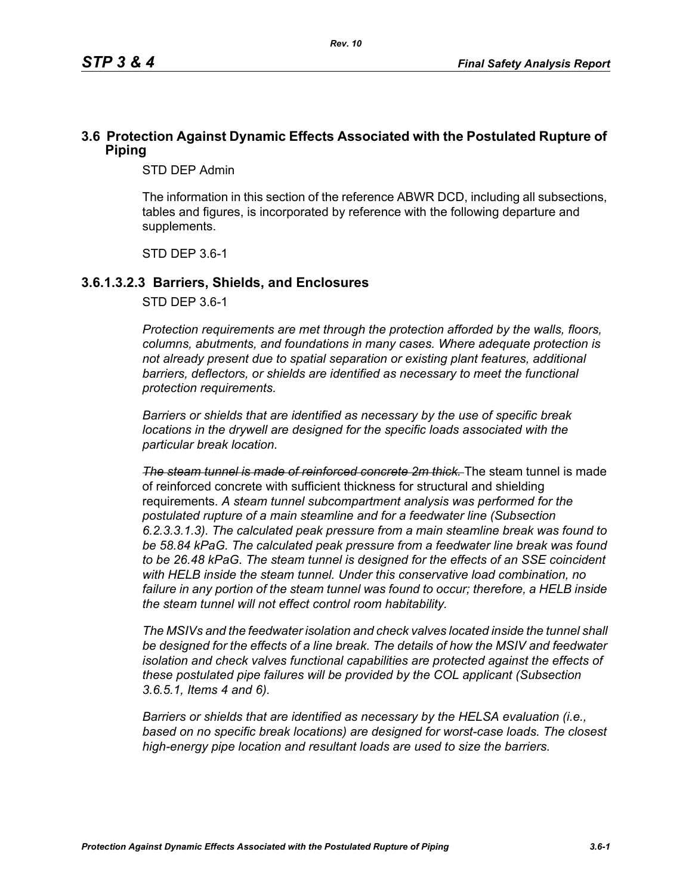## **3.6 Protection Against Dynamic Effects Associated with the Postulated Rupture of Piping**

STD DEP Admin

The information in this section of the reference ABWR DCD, including all subsections, tables and figures, is incorporated by reference with the following departure and supplements.

STD DEP 3.6-1

#### **3.6.1.3.2.3 Barriers, Shields, and Enclosures**

STD DEP 3.6-1

*Protection requirements are met through the protection afforded by the walls, floors, columns, abutments, and foundations in many cases. Where adequate protection is not already present due to spatial separation or existing plant features, additional*  barriers, deflectors, or shields are identified as necessary to meet the functional *protection requirements.*

*Barriers or shields that are identified as necessary by the use of specific break locations in the drywell are designed for the specific loads associated with the particular break location.*

*The steam tunnel is made of reinforced concrete 2m thick.* The steam tunnel is made of reinforced concrete with sufficient thickness for structural and shielding requirements. *A steam tunnel subcompartment analysis was performed for the postulated rupture of a main steamline and for a feedwater line (Subsection 6.2.3.3.1.3). The calculated peak pressure from a main steamline break was found to be 58.84 kPaG. The calculated peak pressure from a feedwater line break was found to be 26.48 kPaG. The steam tunnel is designed for the effects of an SSE coincident with HELB inside the steam tunnel. Under this conservative load combination, no failure in any portion of the steam tunnel was found to occur; therefore, a HELB inside the steam tunnel will not effect control room habitability.*

*The MSIVs and the feedwater isolation and check valves located inside the tunnel shall be designed for the effects of a line break. The details of how the MSIV and feedwater isolation and check valves functional capabilities are protected against the effects of these postulated pipe failures will be provided by the COL applicant (Subsection 3.6.5.1, Items 4 and 6).*

*Barriers or shields that are identified as necessary by the HELSA evaluation (i.e., based on no specific break locations) are designed for worst-case loads. The closest high-energy pipe location and resultant loads are used to size the barriers.*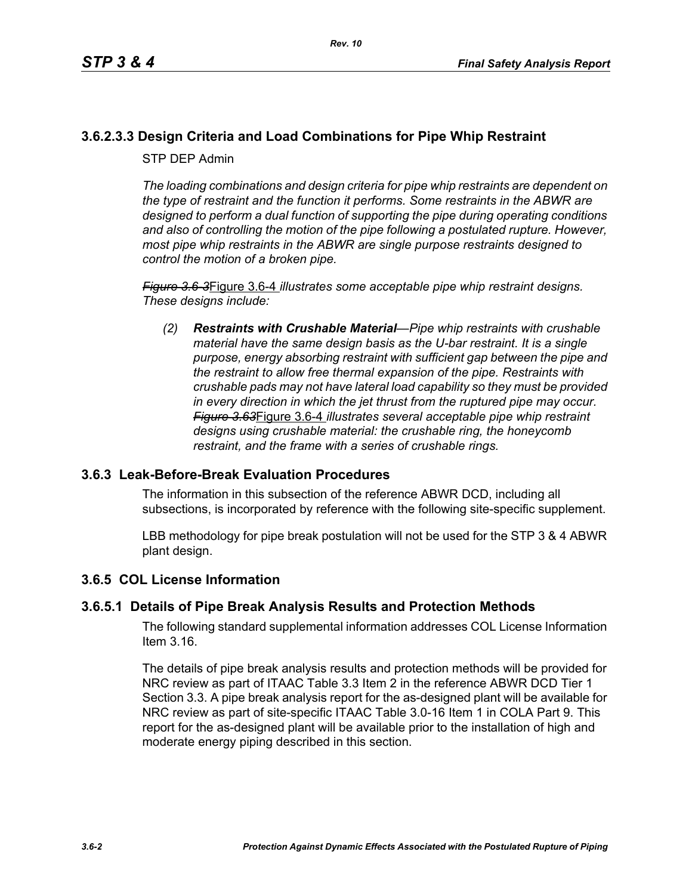# **3.6.2.3.3 Design Criteria and Load Combinations for Pipe Whip Restraint**

STP DEP Admin

*The loading combinations and design criteria for pipe whip restraints are dependent on the type of restraint and the function it performs. Some restraints in the ABWR are designed to perform a dual function of supporting the pipe during operating conditions and also of controlling the motion of the pipe following a postulated rupture. However, most pipe whip restraints in the ABWR are single purpose restraints designed to control the motion of a broken pipe.*

*Figure 3.6-3*Figure 3.6-4 *illustrates some acceptable pipe whip restraint designs. These designs include:*

*(2) Restraints with Crushable Material—Pipe whip restraints with crushable material have the same design basis as the U-bar restraint. It is a single purpose, energy absorbing restraint with sufficient gap between the pipe and the restraint to allow free thermal expansion of the pipe. Restraints with crushable pads may not have lateral load capability so they must be provided in every direction in which the jet thrust from the ruptured pipe may occur. Figure 3.63*Figure 3.6-4 *illustrates several acceptable pipe whip restraint designs using crushable material: the crushable ring, the honeycomb restraint, and the frame with a series of crushable rings.*

### **3.6.3 Leak-Before-Break Evaluation Procedures**

The information in this subsection of the reference ABWR DCD, including all subsections, is incorporated by reference with the following site-specific supplement.

LBB methodology for pipe break postulation will not be used for the STP 3 & 4 ABWR plant design.

### **3.6.5 COL License Information**

### **3.6.5.1 Details of Pipe Break Analysis Results and Protection Methods**

The following standard supplemental information addresses COL License Information Item 3.16.

The details of pipe break analysis results and protection methods will be provided for NRC review as part of ITAAC Table 3.3 Item 2 in the reference ABWR DCD Tier 1 Section 3.3. A pipe break analysis report for the as-designed plant will be available for NRC review as part of site-specific ITAAC Table 3.0-16 Item 1 in COLA Part 9. This report for the as-designed plant will be available prior to the installation of high and moderate energy piping described in this section.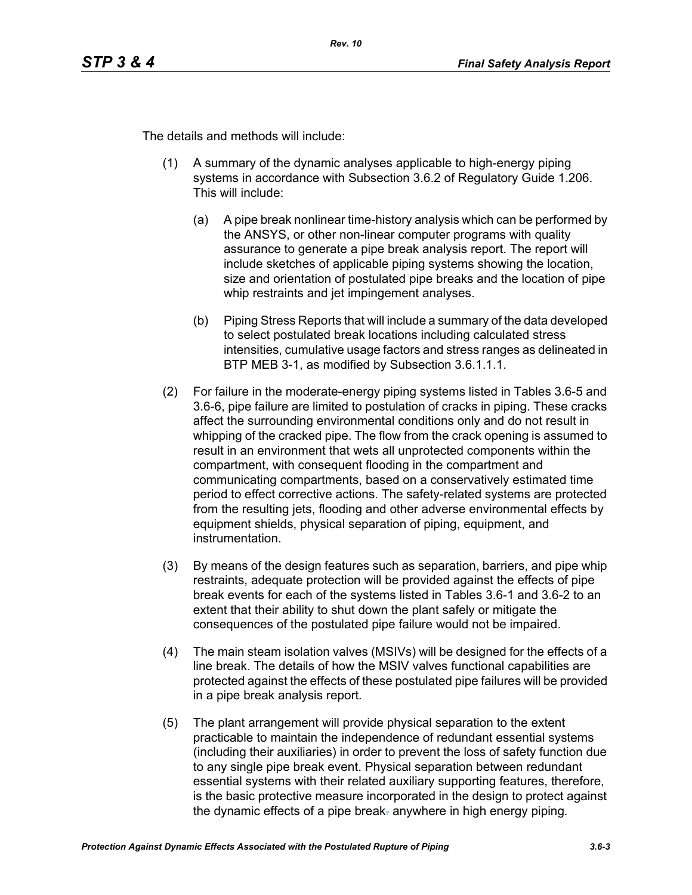The details and methods will include:

- (1) A summary of the dynamic analyses applicable to high-energy piping systems in accordance with Subsection 3.6.2 of Regulatory Guide 1.206. This will include:
	- (a) A pipe break nonlinear time-history analysis which can be performed by the ANSYS, or other non-linear computer programs with quality assurance to generate a pipe break analysis report. The report will include sketches of applicable piping systems showing the location, size and orientation of postulated pipe breaks and the location of pipe whip restraints and jet impingement analyses.
	- (b) Piping Stress Reports that will include a summary of the data developed to select postulated break locations including calculated stress intensities, cumulative usage factors and stress ranges as delineated in BTP MEB 3-1, as modified by Subsection 3.6.1.1.1.
- (2) For failure in the moderate-energy piping systems listed in Tables 3.6-5 and 3.6-6, pipe failure are limited to postulation of cracks in piping. These cracks affect the surrounding environmental conditions only and do not result in whipping of the cracked pipe. The flow from the crack opening is assumed to result in an environment that wets all unprotected components within the compartment, with consequent flooding in the compartment and communicating compartments, based on a conservatively estimated time period to effect corrective actions. The safety-related systems are protected from the resulting jets, flooding and other adverse environmental effects by equipment shields, physical separation of piping, equipment, and instrumentation.
- (3) By means of the design features such as separation, barriers, and pipe whip restraints, adequate protection will be provided against the effects of pipe break events for each of the systems listed in Tables 3.6-1 and 3.6-2 to an extent that their ability to shut down the plant safely or mitigate the consequences of the postulated pipe failure would not be impaired.
- (4) The main steam isolation valves (MSIVs) will be designed for the effects of a line break. The details of how the MSIV valves functional capabilities are protected against the effects of these postulated pipe failures will be provided in a pipe break analysis report*.*
- (5) The plant arrangement will provide physical separation to the extent practicable to maintain the independence of redundant essential systems (including their auxiliaries) in order to prevent the loss of safety function due to any single pipe break event. Physical separation between redundant essential systems with their related auxiliary supporting features, therefore, is the basic protective measure incorporated in the design to protect against the dynamic effects of a pipe break. anywhere in high energy piping*.*